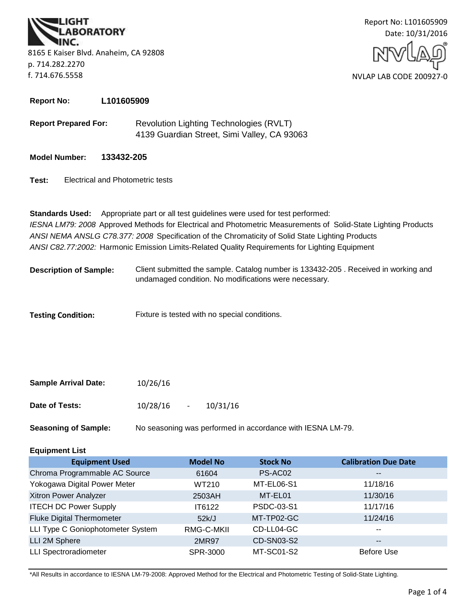**BORATORY** 8165 E Kaiser Blvd. Anaheim, CA 92808 p. 714.282.2270 f. 714.676.5558



**Report No: L101605909**

- **Report Prepared For:** Revolution Lighting Technologies (RVLT) 4139 Guardian Street, Simi Valley, CA 93063
- **Model Number: 133432-205**
- **Test:** Electrical and Photometric tests

**Standards Used:** Appropriate part or all test guidelines were used for test performed: *IESNA LM79: 2008* Approved Methods for Electrical and Photometric Measurements of Solid-State Lighting Products *ANSI NEMA ANSLG C78.377: 2008* Specification of the Chromaticity of Solid State Lighting Products *ANSI C82.77:2002:* Harmonic Emission Limits-Related Quality Requirements for Lighting Equipment

**Description of Sample:** Client submitted the sample. Catalog number is 133432-205 . Received in working and undamaged condition. No modifications were necessary.

**Testing Condition:** Fixture is tested with no special conditions.

| <b>Sample Arrival Date:</b> | 10/26/16 |        |          |
|-----------------------------|----------|--------|----------|
| Date of Tests:              | 10/28/16 | $\sim$ | 10/31/16 |

**Seasoning of Sample:** No seasoning was performed in accordance with IESNA LM-79.

# **Equipment List**

| <b>Equipment Used</b>             | <b>Model No</b> | <b>Stock No</b>   | <b>Calibration Due Date</b> |
|-----------------------------------|-----------------|-------------------|-----------------------------|
| Chroma Programmable AC Source     | 61604           | PS-AC02           | $- -$                       |
| Yokogawa Digital Power Meter      | WT210           | MT-EL06-S1        | 11/18/16                    |
| Xitron Power Analyzer             | 2503AH          | MT-EL01           | 11/30/16                    |
| <b>ITECH DC Power Supply</b>      | IT6122          | PSDC-03-S1        | 11/17/16                    |
| <b>Fluke Digital Thermometer</b>  | 52k/J           | MT-TP02-GC        | 11/24/16                    |
| LLI Type C Goniophotometer System | RMG-C-MKII      | CD-LL04-GC        | $\sim$ $\sim$               |
| LLI 2M Sphere                     | 2MR97           | <b>CD-SN03-S2</b> | $\overline{\phantom{m}}$    |
| <b>LLI Spectroradiometer</b>      | SPR-3000        | MT-SC01-S2        | Before Use                  |

\*All Results in accordance to IESNA LM-79-2008: Approved Method for the Electrical and Photometric Testing of Solid-State Lighting.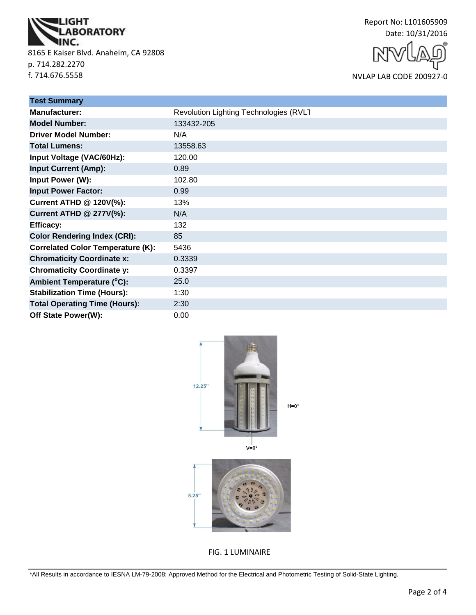

8165 E Kaiser Blvd. Anaheim, CA 92808 p. 714.282.2270 f. 714.676.5558



NVLAP LAB CODE 200927-0

| <b>Test Summary</b>                      |                                        |
|------------------------------------------|----------------------------------------|
| <b>Manufacturer:</b>                     | Revolution Lighting Technologies (RVLT |
| <b>Model Number:</b>                     | 133432-205                             |
| <b>Driver Model Number:</b>              | N/A                                    |
| <b>Total Lumens:</b>                     | 13558.63                               |
| Input Voltage (VAC/60Hz):                | 120.00                                 |
| <b>Input Current (Amp):</b>              | 0.89                                   |
| <b>Input Power (W):</b>                  | 102.80                                 |
| <b>Input Power Factor:</b>               | 0.99                                   |
| <b>Current ATHD @ 120V(%):</b>           | 13%                                    |
| <b>Current ATHD @ 277V(%):</b>           | N/A                                    |
| <b>Efficacy:</b>                         | 132                                    |
| <b>Color Rendering Index (CRI):</b>      | 85                                     |
| <b>Correlated Color Temperature (K):</b> | 5436                                   |
| <b>Chromaticity Coordinate x:</b>        | 0.3339                                 |
| <b>Chromaticity Coordinate y:</b>        | 0.3397                                 |
| Ambient Temperature (°C):                | 25.0                                   |
| <b>Stabilization Time (Hours):</b>       | 1:30                                   |
| <b>Total Operating Time (Hours):</b>     | 2:30                                   |
| Off State Power(W):                      | 0.00                                   |



FIG. 1 LUMINAIRE

\*All Results in accordance to IESNA LM-79-2008: Approved Method for the Electrical and Photometric Testing of Solid-State Lighting.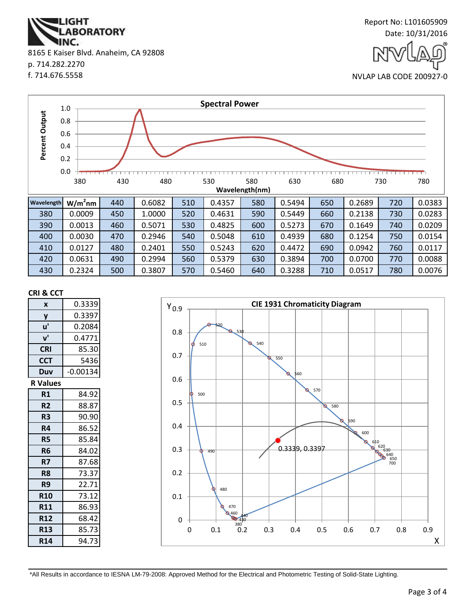**ABORATORY** INC. 8165 E Kaiser Blvd. Anaheim, CA 92808 p. 714.282.2270 f. 714.676.5558

**IGHT** 



NVLAP LAB CODE 200927-0



#### **CRI & CCT**

| X               | 0.3339     |
|-----------------|------------|
| y               | 0.3397     |
| u'              | 0.2084     |
| $V^{\prime}$    | 0.4771     |
| <b>CRI</b>      | 85.30      |
| <b>CCT</b>      | 5436       |
| Duv             | $-0.00134$ |
| <b>R</b> Values |            |
| R1              | 84.92      |
| R <sub>2</sub>  | 88.87      |
| R <sub>3</sub>  | 90.90      |
| R4              | 86.52      |
| <b>R5</b>       | 85.84      |
| R <sub>6</sub>  | 84.02      |
| R7              | 87.68      |
| R <sub>8</sub>  | 73.37      |
| R9              | 22.71      |
| <b>R10</b>      | 73.12      |
| <b>R11</b>      | 86.93      |
| <b>R12</b>      | 68.42      |
| <b>R13</b>      | 85.73      |
| <b>R14</b>      | 94.73      |



\*All Results in accordance to IESNA LM-79-2008: Approved Method for the Electrical and Photometric Testing of Solid-State Lighting.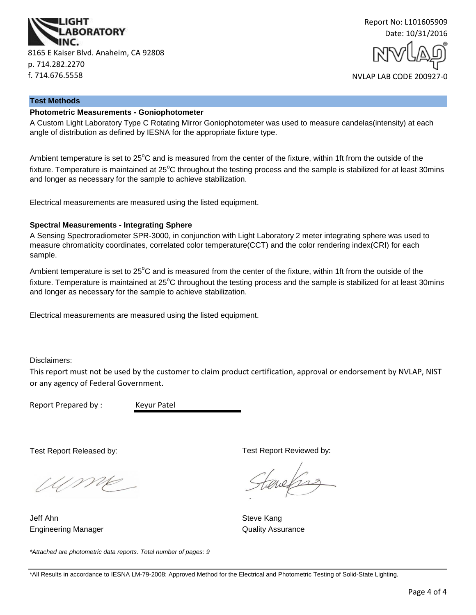



#### **Test Methods**

#### **Photometric Measurements - Goniophotometer**

A Custom Light Laboratory Type C Rotating Mirror Goniophotometer was used to measure candelas(intensity) at each angle of distribution as defined by IESNA for the appropriate fixture type.

Ambient temperature is set to 25<sup>°</sup>C and is measured from the center of the fixture, within 1ft from the outside of the fixture. Temperature is maintained at  $25^{\circ}$ C throughout the testing process and the sample is stabilized for at least 30mins and longer as necessary for the sample to achieve stabilization.

Electrical measurements are measured using the listed equipment.

#### **Spectral Measurements - Integrating Sphere**

A Sensing Spectroradiometer SPR-3000, in conjunction with Light Laboratory 2 meter integrating sphere was used to measure chromaticity coordinates, correlated color temperature(CCT) and the color rendering index(CRI) for each sample.

Ambient temperature is set to  $25^{\circ}$ C and is measured from the center of the fixture, within 1ft from the outside of the fixture. Temperature is maintained at  $25^{\circ}$ C throughout the testing process and the sample is stabilized for at least 30mins and longer as necessary for the sample to achieve stabilization.

Electrical measurements are measured using the listed equipment.

Disclaimers:

This report must not be used by the customer to claim product certification, approval or endorsement by NVLAP, NIST or any agency of Federal Government.

Report Prepared by : Keyur Patel

Test Report Released by:

UME

Engineering Manager **Contains a Strutter Contains a Container Contains A**uality Assurance Jeff Ahn Steve Kang

*\*Attached are photometric data reports. Total number of pages: 9*

Test Report Reviewed by:

auchs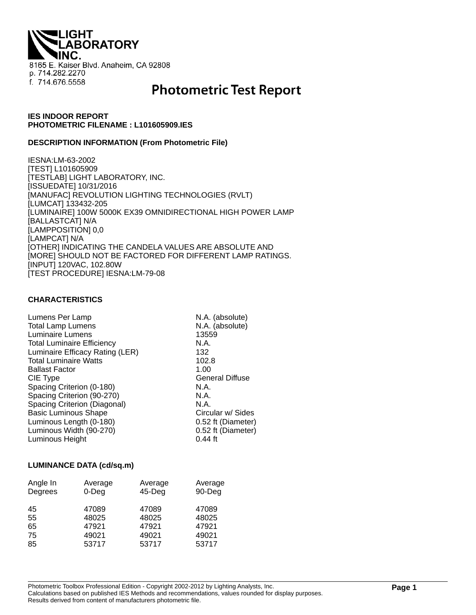**IGHT ABORATORY** 8165 E. Kaiser Blvd. Anaheim, CA 92808 p. 714.282.2270 f. 714.676.5558

# **Photometric Test Report**

## **IES INDOOR REPORT PHOTOMETRIC FILENAME : L101605909.IES**

#### **DESCRIPTION INFORMATION (From Photometric File)**

IESNA:LM-63-2002 [TEST] L101605909 [TESTLAB] LIGHT LABORATORY, INC. [ISSUEDATE] 10/31/2016 [MANUFAC] REVOLUTION LIGHTING TECHNOLOGIES (RVLT) [LUMCAT] 133432-205 [LUMINAIRE] 100W 5000K EX39 OMNIDIRECTIONAL HIGH POWER LAMP [BALLASTCAT] N/A [LAMPPOSITION] 0,0 [LAMPCAT] N/A [OTHER] INDICATING THE CANDELA VALUES ARE ABSOLUTE AND [MORE] SHOULD NOT BE FACTORED FOR DIFFERENT LAMP RATINGS. [INPUT] 120VAC, 102.80W [TEST PROCEDURE] IESNA:LM-79-08

# **CHARACTERISTICS**

| Lumens Per Lamp                   | N.A. (absolute)        |
|-----------------------------------|------------------------|
| <b>Total Lamp Lumens</b>          | N.A. (absolute)        |
| Luminaire Lumens                  | 13559                  |
| <b>Total Luminaire Efficiency</b> | N.A.                   |
| Luminaire Efficacy Rating (LER)   | 132                    |
| <b>Total Luminaire Watts</b>      | 102.8                  |
| <b>Ballast Factor</b>             | 1.00                   |
| CIE Type                          | <b>General Diffuse</b> |
| Spacing Criterion (0-180)         | N.A.                   |
| Spacing Criterion (90-270)        | N.A.                   |
| Spacing Criterion (Diagonal)      | N.A.                   |
| <b>Basic Luminous Shape</b>       | Circular w/ Sides      |
| Luminous Length (0-180)           | 0.52 ft (Diameter)     |
| Luminous Width (90-270)           | 0.52 ft (Diameter)     |
| Luminous Height                   | $0.44$ ft              |

#### **LUMINANCE DATA (cd/sq.m)**

| Angle In | Average  | Average   | Average |
|----------|----------|-----------|---------|
| Degrees  | $0$ -Deg | $45$ -Deg | 90-Deg  |
| 45       | 47089    | 47089     | 47089   |
| 55       | 48025    | 48025     | 48025   |
| 65       | 47921    | 47921     | 47921   |
| 75       | 49021    | 49021     | 49021   |
| 85       | 53717    | 53717     | 53717   |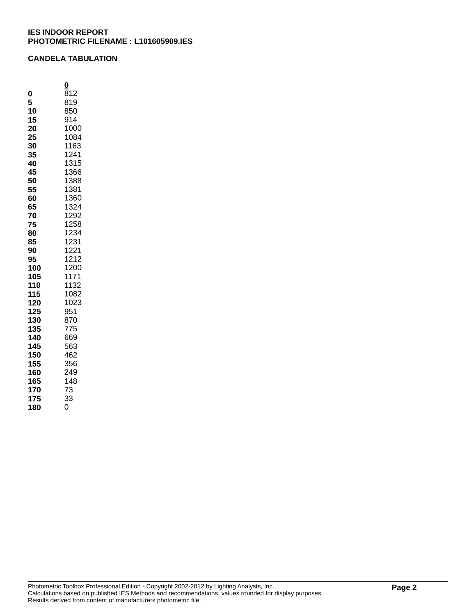## **CANDELA TABULATION**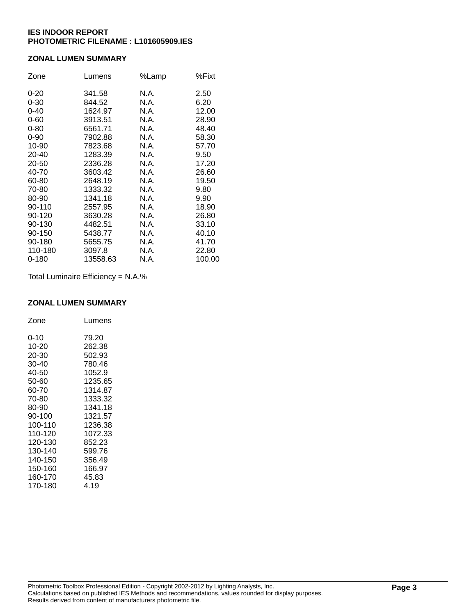# **ZONAL LUMEN SUMMARY**

| Zone      | Lumens   | %Lamp | %Fixt  |
|-----------|----------|-------|--------|
| $0 - 20$  | 341.58   | N.A.  | 2.50   |
| $0 - 30$  | 844.52   | N.A.  | 6.20   |
| $0 - 40$  | 1624.97  | N.A.  | 12.00  |
| $0 - 60$  | 3913.51  | N.A.  | 28.90  |
| $0 - 80$  | 6561.71  | N.A.  | 48.40  |
| $0 - 90$  | 7902.88  | N.A.  | 58.30  |
| 10-90     | 7823.68  | N.A.  | 57.70  |
| 20-40     | 1283.39  | N.A.  | 9.50   |
| 20-50     | 2336.28  | N.A.  | 17.20  |
| 40-70     | 3603.42  | N.A.  | 26.60  |
| 60-80     | 2648.19  | N.A.  | 19.50  |
| 70-80     | 1333.32  | N.A.  | 9.80   |
| 80-90     | 1341.18  | N.A.  | 9.90   |
| 90-110    | 2557.95  | N.A.  | 18.90  |
| 90-120    | 3630.28  | N.A.  | 26.80  |
| 90-130    | 4482.51  | N.A.  | 33.10  |
| 90-150    | 5438.77  | N.A.  | 40.10  |
| 90-180    | 5655.75  | N.A.  | 41.70  |
| 110-180   | 3097.8   | N.A.  | 22.80  |
| $0 - 180$ | 13558.63 | N.A.  | 100.00 |

Total Luminaire Efficiency = N.A.%

#### **ZONAL LUMEN SUMMARY**

| Zone     | Lumens  |
|----------|---------|
| $0 - 10$ | 79.20   |
| 10-20    | 262.38  |
| 20-30    | 502.93  |
| 30-40    | 780.46  |
| 40-50    | 1052.9  |
| 50-60    | 1235.65 |
| 60-70    | 1314.87 |
| 70-80    | 1333.32 |
| 80-90    | 1341.18 |
| 90-100   | 1321.57 |
| 100-110  | 1236.38 |
| 110-120  | 1072.33 |
| 120-130  | 852.23  |
| 130-140  | 599.76  |
| 140-150  | 356.49  |
| 150-160  | 166.97  |
| 160-170  | 45.83   |
| 170-180  | 4.19    |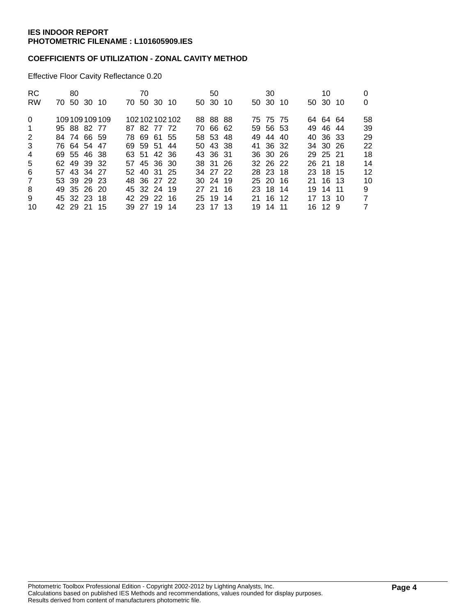# **COEFFICIENTS OF UTILIZATION - ZONAL CAVITY METHOD**

Effective Floor Cavity Reflectance 0.20

| 10       | 0<br>0               |
|----------|----------------------|
|          |                      |
|          | 58                   |
| 49 46 44 | 39                   |
| 40 36 33 | 29                   |
| 34 30 26 | 22                   |
| 29 25 21 | 18                   |
| 26 21 18 | 14                   |
| 23 18 15 | 12                   |
| 21 16 13 | 10                   |
| 19 14 11 | 9                    |
| 17 13 10 | 7                    |
| 16 12 9  | 7                    |
|          | 50 30 10<br>64 64 64 |